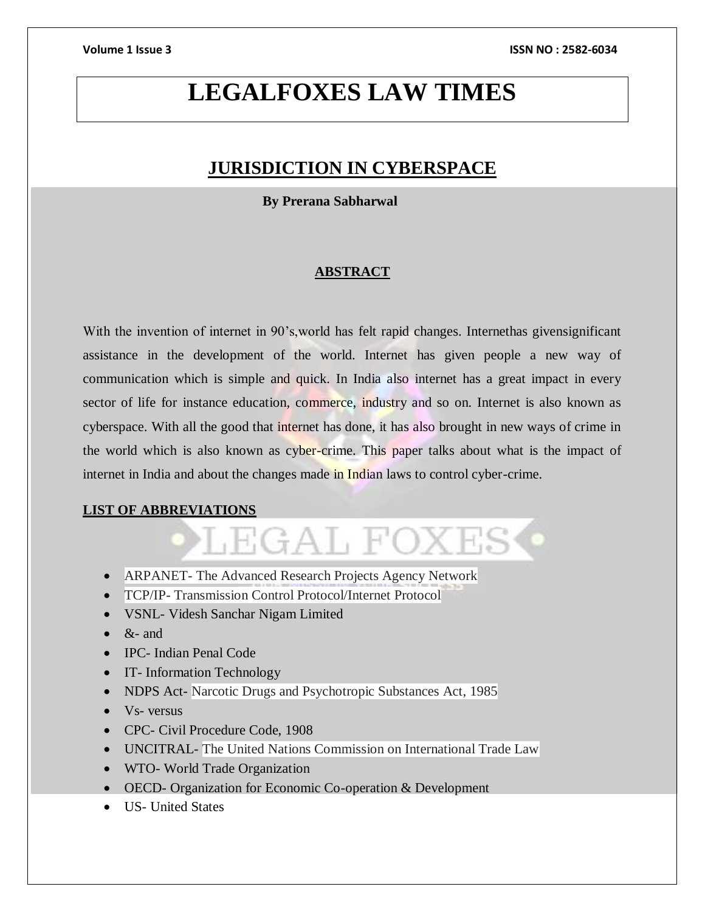# **LEGALFOXES LAW TIMES**

# **JURISDICTION IN CYBERSPACE**

 **By Prerana Sabharwal**

# **ABSTRACT**

With the invention of internet in 90's, world has felt rapid changes. Internethas given significant assistance in the development of the world. Internet has given people a new way of communication which is simple and quick. In India also internet has a great impact in every sector of life for instance education, commerce, industry and so on. Internet is also known as cyberspace. With all the good that internet has done, it has also brought in new ways of crime in the world which is also known as cyber-crime. This paper talks about what is the impact of internet in India and about the changes made in Indian laws to control cyber-crime.

LEGAL FOXES

# **LIST OF ABBREVIATIONS**

# • ARPANET- The Advanced Research Projects Agency Network

- TCP/IP- Transmission Control Protocol/Internet Protocol
- VSNL- Videsh Sanchar Nigam Limited
- $\bullet$  &- and
- IPC- Indian Penal Code
- IT- Information Technology
- NDPS Act- Narcotic Drugs and Psychotropic Substances Act, 1985
- $\bullet$  Vs- versus
- CPC- Civil Procedure Code, 1908
- UNCITRAL- The United Nations Commission on International Trade Law
- WTO- World Trade Organization
- OECD- Organization for Economic Co-operation & Development
- US- United States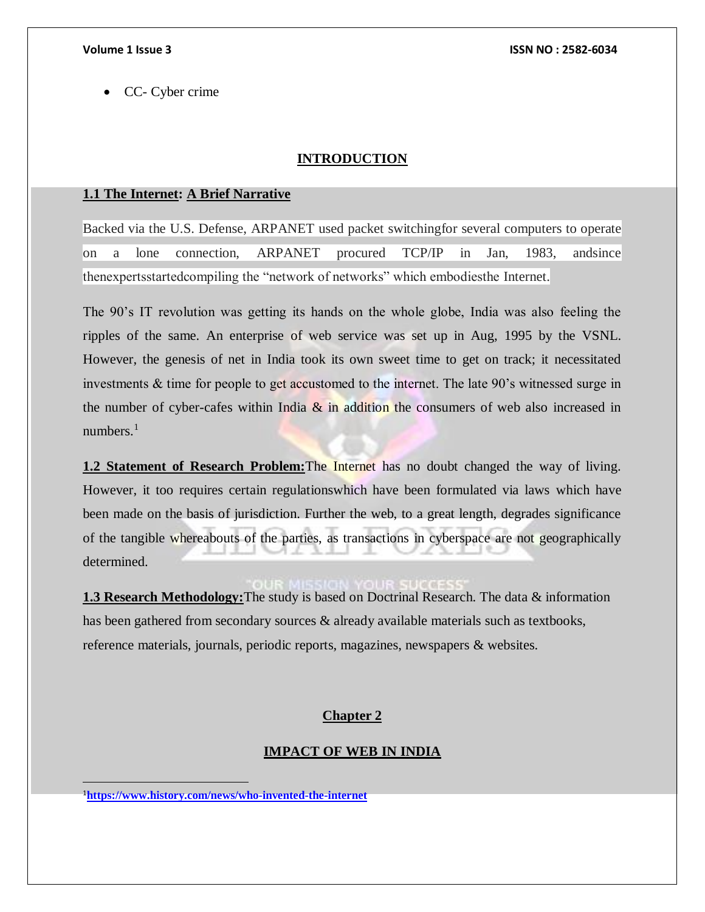CC- Cyber crime

# **INTRODUCTION**

# **1.1 The Internet: A Brief Narrative**

Backed via the U.S. Defense, ARPANET used packet switchingfor several computers to operate on a lone connection, ARPANET procured TCP/IP in Jan, 1983, andsince thenexpertsstartedcompiling the "network of networks" which embodiesthe Internet.

The 90's IT revolution was getting its hands on the whole globe, India was also feeling the ripples of the same. An enterprise of web service was set up in Aug, 1995 by the VSNL. However, the genesis of net in India took its own sweet time to get on track; it necessitated investments & time for people to get accustomed to the internet. The late 90's witnessed surge in the number of cyber-cafes within India  $\&$  in addition the consumers of web also increased in numbers. $<sup>1</sup>$ </sup>

**1.2 Statement of Research Problem:**The Internet has no doubt changed the way of living. However, it too requires certain regulationswhich have been formulated via laws which have been made on the basis of jurisdiction. Further the web, to a great length, degrades significance of the tangible whereabouts of the parties, as transactions in cyberspace are not geographically determined.

**1.3 Research Methodology:**The study is based on Doctrinal Research. The data & information has been gathered from secondary sources & already available materials such as textbooks, reference materials, journals, periodic reports, magazines, newspapers & websites.

# **Chapter 2**

# **IMPACT OF WEB IN INDIA**

<sup>1</sup>**<https://www.history.com/news/who-invented-the-internet>**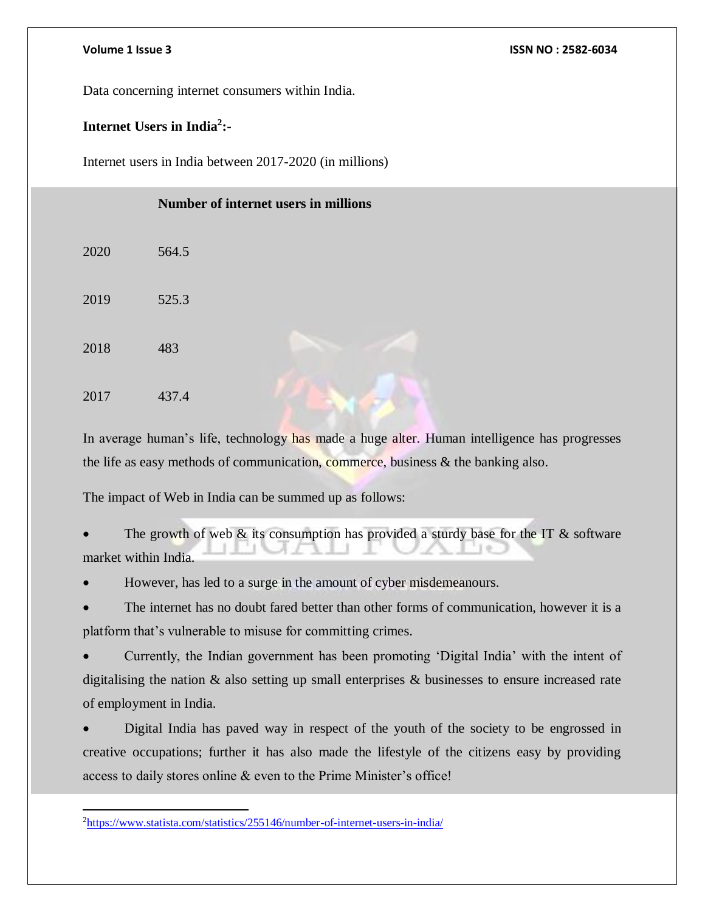Data concerning internet consumers within India.

# **Internet Users in India<sup>2</sup> :-**

Internet users in India between 2017-2020 (in millions)

|      | Number of internet users in millions |
|------|--------------------------------------|
| 2020 | 564.5                                |
| 2019 | 525.3                                |
| 2018 | 483                                  |
| 2017 | 437.4                                |

In average human's life, technology has made a huge alter. Human intelligence has progresses the life as easy methods of communication, commerce, business & the banking also.

The impact of Web in India can be summed up as follows:

The growth of web  $\&$  its consumption has provided a sturdy base for the IT  $\&$  software market within India.

However, has led to a surge in the amount of cyber misdemeanours.

 The internet has no doubt fared better than other forms of communication, however it is a platform that's vulnerable to misuse for committing crimes.

 Currently, the Indian government has been promoting 'Digital India' with the intent of digitalising the nation & also setting up small enterprises & businesses to ensure increased rate of employment in India.

 Digital India has paved way in respect of the youth of the society to be engrossed in creative occupations; further it has also made the lifestyle of the citizens easy by providing access to daily stores online & even to the Prime Minister's office!

 $\overline{a}$ 2<https://www.statista.com/statistics/255146/number-of-internet-users-in-india/>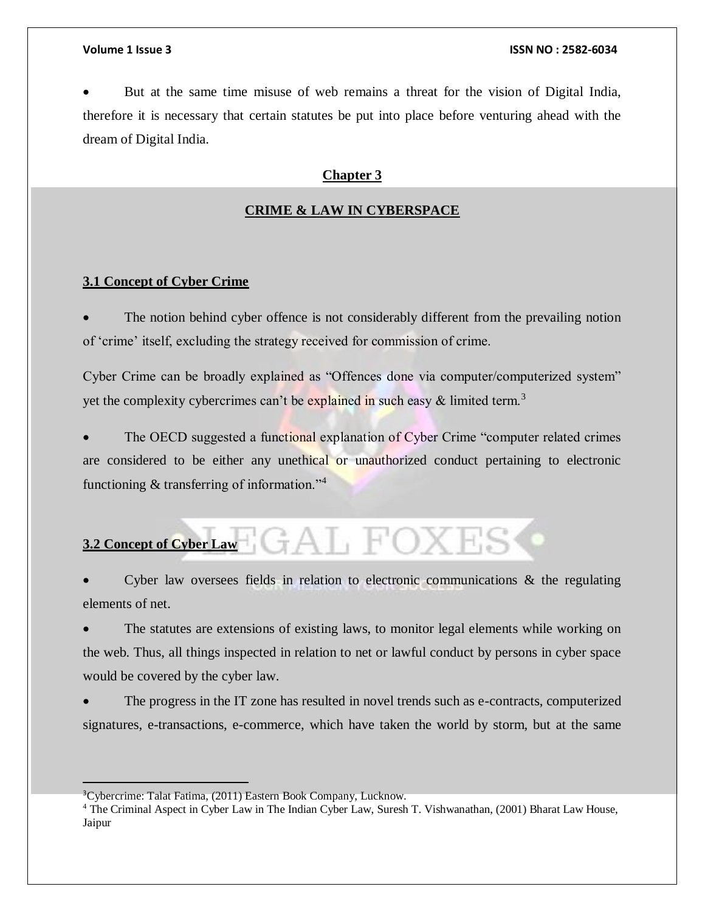But at the same time misuse of web remains a threat for the vision of Digital India, therefore it is necessary that certain statutes be put into place before venturing ahead with the dream of Digital India.

### **Chapter 3**

### **CRIME & LAW IN CYBERSPACE**

# **3.1 Concept of Cyber Crime**

 The notion behind cyber offence is not considerably different from the prevailing notion of 'crime' itself, excluding the strategy received for commission of crime.

Cyber Crime can be broadly explained as "Offences done via computer/computerized system" yet the complexity cybercrimes can't be explained in such easy  $\&$  limited term.<sup>3</sup>

 The OECD suggested a functional explanation of Cyber Crime "computer related crimes are considered to be either any unethical or unauthorized conduct pertaining to electronic functioning & transferring of information."<sup>4</sup>

# GAL FOXES **3.2 Concept of Cyber Law**

Cyber law oversees fields in relation to electronic communications  $\&$  the regulating elements of net.

 The statutes are extensions of existing laws, to monitor legal elements while working on the web. Thus, all things inspected in relation to net or lawful conduct by persons in cyber space would be covered by the cyber law.

 The progress in the IT zone has resulted in novel trends such as e-contracts, computerized signatures, e-transactions, e-commerce, which have taken the world by storm, but at the same

<sup>&</sup>lt;sup>3</sup>Cybercrime: Talat Fatima, (2011) Eastern Book Company, Lucknow.

<sup>4</sup> The Criminal Aspect in Cyber Law in The Indian Cyber Law, Suresh T. Vishwanathan, (2001) Bharat Law House, Jaipur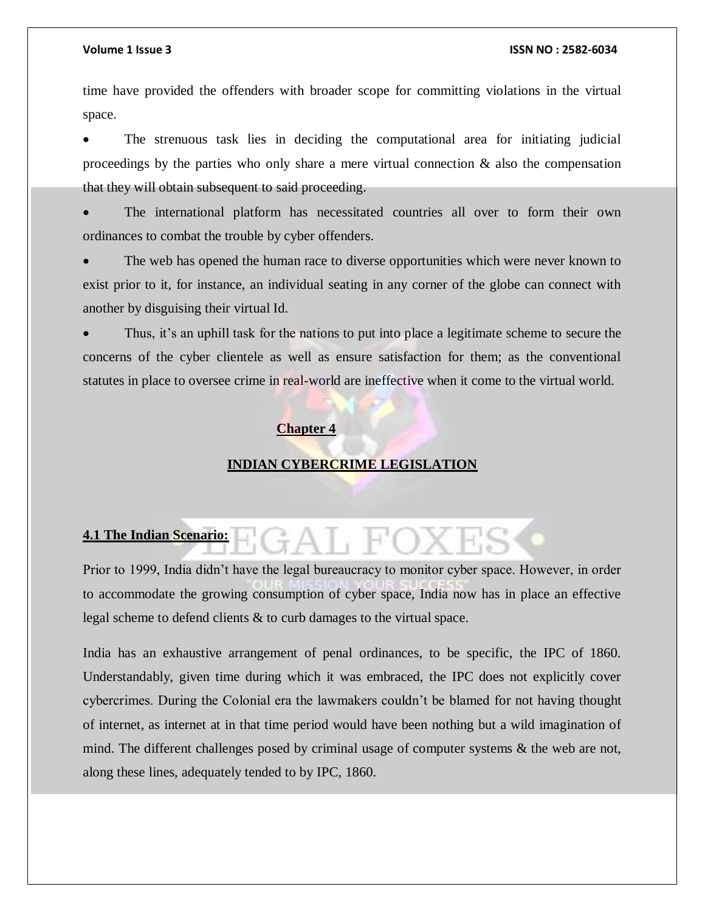time have provided the offenders with broader scope for committing violations in the virtual space.

 The strenuous task lies in deciding the computational area for initiating judicial proceedings by the parties who only share a mere virtual connection  $\&$  also the compensation that they will obtain subsequent to said proceeding.

 The international platform has necessitated countries all over to form their own ordinances to combat the trouble by cyber offenders.

 The web has opened the human race to diverse opportunities which were never known to exist prior to it, for instance, an individual seating in any corner of the globe can connect with another by disguising their virtual Id.

 Thus, it's an uphill task for the nations to put into place a legitimate scheme to secure the concerns of the cyber clientele as well as ensure satisfaction for them; as the conventional statutes in place to oversee crime in real-world are ineffective when it come to the virtual world.

### **Chapter 4**

### **INDIAN CYBERCRIME LEGISLATION**

# **4.1 The Indian Scenario:**

Prior to 1999, India didn't have the legal bureaucracy to monitor cyber space. However, in order to accommodate the growing consumption of cyber space, India now has in place an effective legal scheme to defend clients & to curb damages to the virtual space.

 $\div A$   $\vdash$   $\vdash$ 

India has an exhaustive arrangement of penal ordinances, to be specific, the IPC of 1860. Understandably, given time during which it was embraced, the IPC does not explicitly cover cybercrimes. During the Colonial era the lawmakers couldn't be blamed for not having thought of internet, as internet at in that time period would have been nothing but a wild imagination of mind. The different challenges posed by criminal usage of computer systems & the web are not, along these lines, adequately tended to by IPC, 1860.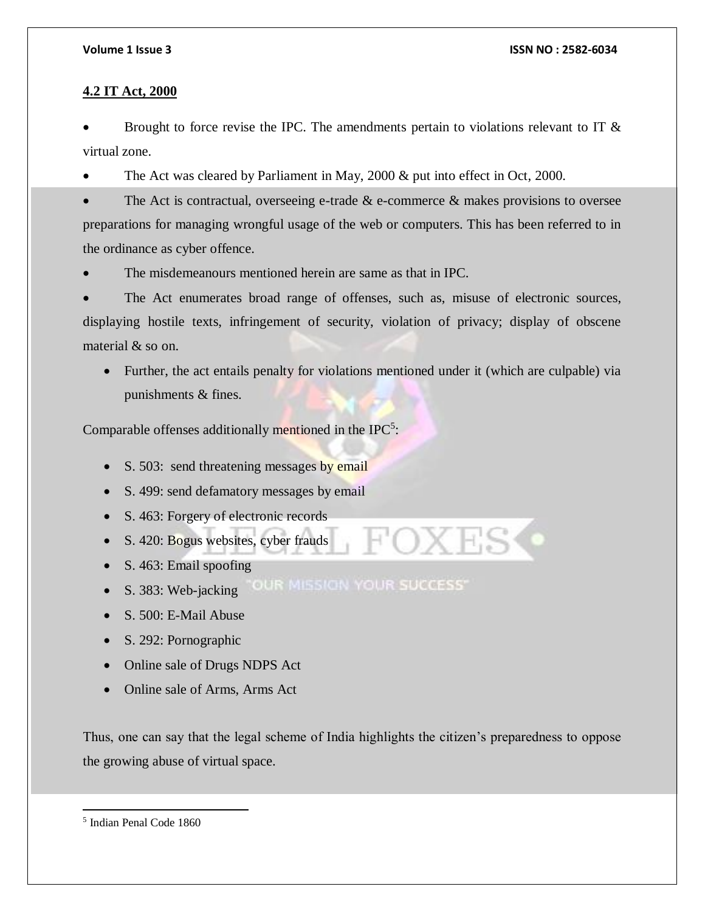# **4.2 IT Act, 2000**

Brought to force revise the IPC. The amendments pertain to violations relevant to IT  $\&$ virtual zone.

The Act was cleared by Parliament in May, 2000 & put into effect in Oct, 2000.

The Act is contractual, overseeing e-trade  $\&$  e-commerce  $\&$  makes provisions to oversee preparations for managing wrongful usage of the web or computers. This has been referred to in the ordinance as cyber offence.

The misdemeanours mentioned herein are same as that in IPC.

 The Act enumerates broad range of offenses, such as, misuse of electronic sources, displaying hostile texts, infringement of security, violation of privacy; display of obscene material & so on.

 Further, the act entails penalty for violations mentioned under it (which are culpable) via punishments & fines.

Comparable offenses additionally mentioned in the IPC<sup>5</sup>:

- S. 503: send threatening messages by email
- S. 499: send defamatory messages by email
- S. 463: Forgery of electronic records
- S. 420: Bogus websites, cyber frauds
- S. 463: Email spoofing
- . S. 383: Web-jacking "OUR MISSION YOUR SUCCESS"
- S. 500: E-Mail Abuse
- S. 292: Pornographic
- Online sale of Drugs NDPS Act
- Online sale of Arms, Arms Act

Thus, one can say that the legal scheme of India highlights the citizen's preparedness to oppose the growing abuse of virtual space.

<sup>5</sup> Indian Penal Code 1860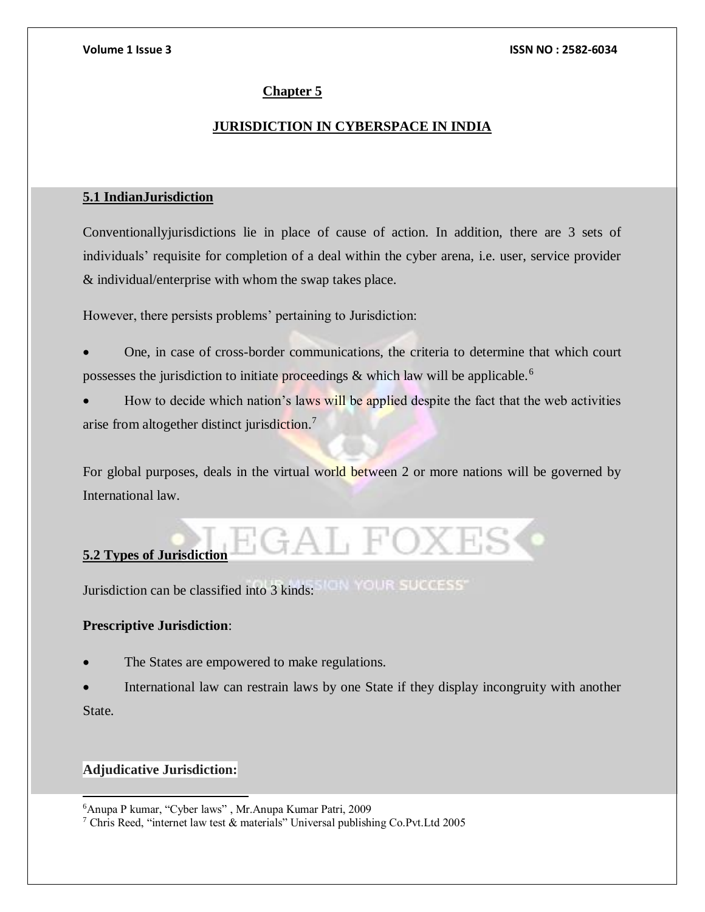# **Chapter 5**

# **JURISDICTION IN CYBERSPACE IN INDIA**

# **5.1 IndianJurisdiction**

Conventionallyjurisdictions lie in place of cause of action. In addition, there are 3 sets of individuals' requisite for completion of a deal within the cyber arena, i.e. user, service provider & individual/enterprise with whom the swap takes place.

However, there persists problems' pertaining to Jurisdiction:

 One, in case of cross-border communications, the criteria to determine that which court possesses the jurisdiction to initiate proceedings  $\&$  which law will be applicable.<sup>6</sup>

How to decide which nation's laws will be applied despite the fact that the web activities arise from altogether distinct jurisdiction.<sup>7</sup>

For global purposes, deals in the virtual world between 2 or more nations will be governed by International law.

AL FOXES

# **5.2 Types of Jurisdiction**

Jurisdiction can be classified into 3 kinds:

# **Prescriptive Jurisdiction**:

The States are empowered to make regulations.

 International law can restrain laws by one State if they display incongruity with another State.

# **Adjudicative Jurisdiction:**

l

<sup>6</sup>Anupa P kumar, "Cyber laws" , Mr.Anupa Kumar Patri, 2009

<sup>7</sup> Chris Reed, "internet law test & materials" Universal publishing Co.Pvt.Ltd 2005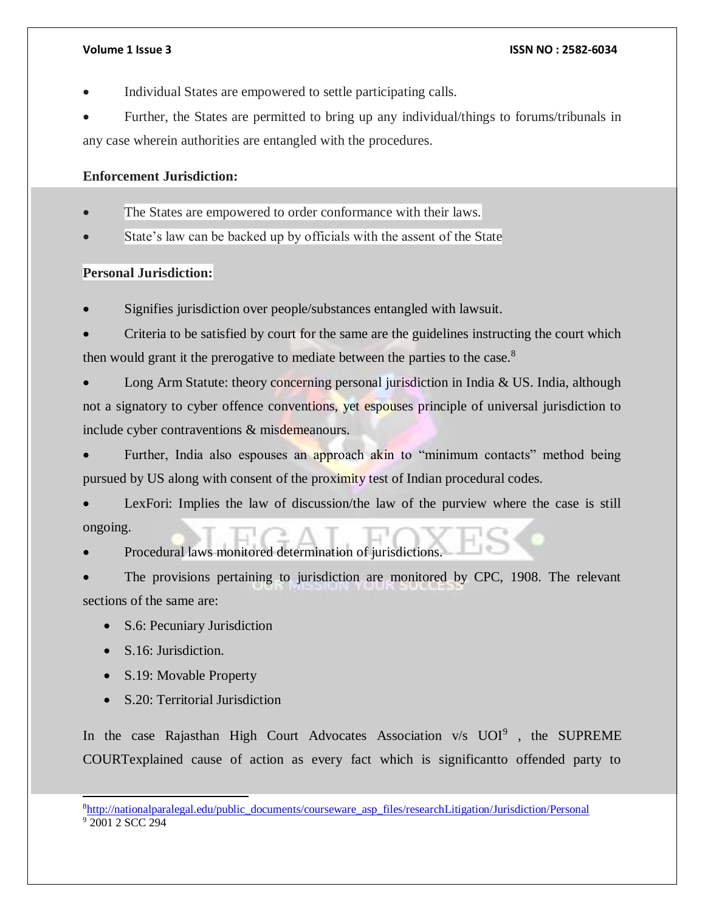Individual States are empowered to settle participating calls.

 Further, the States are permitted to bring up any individual/things to forums/tribunals in any case wherein authorities are entangled with the procedures.

# **Enforcement Jurisdiction:**

- The States are empowered to order conformance with their laws.
- State's law can be backed up by officials with the assent of the State

# **Personal Jurisdiction:**

- Signifies jurisdiction over people/substances entangled with lawsuit.
- Criteria to be satisfied by court for the same are the guidelines instructing the court which then would grant it the prerogative to mediate between the parties to the case.<sup>8</sup>

 Long Arm Statute: theory concerning personal jurisdiction in India & US. India, although not a signatory to cyber offence conventions, yet espouses principle of universal jurisdiction to include cyber contraventions & misdemeanours.

Further, India also espouses an approach akin to "minimum contacts" method being pursued by US along with consent of the proximity test of Indian procedural codes.

 LexFori: Implies the law of discussion/the law of the purview where the case is still ongoing.

Procedural laws monitored determination of jurisdictions.

 The provisions pertaining to jurisdiction are monitored by CPC, 1908. The relevant sections of the same are:

- S.6: Pecuniary Jurisdiction
- S.16: Jurisdiction.

l

- S.19: Movable Property
- S.20: Territorial Jurisdiction

In the case Rajasthan High Court Advocates Association  $v/s$  UOI<sup>9</sup>, the SUPREME COURTexplained cause of action as every fact which is significantto offended party to

<sup>8</sup>[http://nationalparalegal.edu/public\\_documents/courseware\\_asp\\_files/researchLitigation/Jurisdiction/Personal](http://nationalparalegal.edu/public_documents/courseware_asp_files/researchLitigation/Jurisdiction/Personal) <sup>9</sup> 2001 2 SCC 294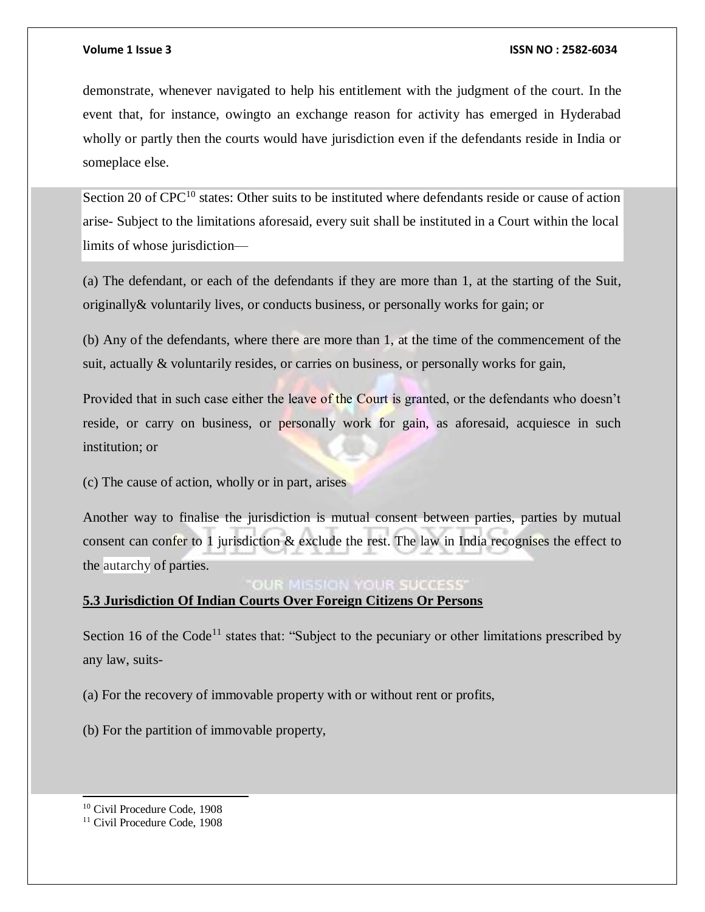demonstrate, whenever navigated to help his entitlement with the judgment of the court. In the event that, for instance, owingto an exchange reason for activity has emerged in Hyderabad wholly or partly then the courts would have jurisdiction even if the defendants reside in India or someplace else.

Section 20 of  $CPC^{10}$  states: Other suits to be instituted where defendants reside or cause of action arise- Subject to the limitations aforesaid, every suit shall be instituted in a Court within the local limits of whose jurisdiction—

(a) The defendant, or each of the defendants if they are more than 1, at the starting of the Suit, originally& voluntarily lives, or conducts business, or personally works for gain; or

(b) Any of the defendants, where there are more than 1, at the time of the commencement of the suit, actually & voluntarily resides, or carries on business, or personally works for gain,

Provided that in such case either the leave of the Court is granted, or the defendants who doesn't reside, or carry on business, or personally work for gain, as aforesaid, acquiesce in such institution; or

(c) The cause of action, wholly or in part, arises

Another way to finalise the jurisdiction is mutual consent between parties, parties by mutual consent can confer to 1 jurisdiction & exclude the rest. The law in India recognises the effect to the autarchy of parties.

# **OUR MISSION YOUR SUCCESS**

# **5.3 Jurisdiction Of Indian Courts Over Foreign Citizens Or Persons**

Section 16 of the Code<sup>11</sup> states that: "Subject to the pecuniary or other limitations prescribed by any law, suits-

(a) For the recovery of immovable property with or without rent or profits,

(b) For the partition of immovable property,

l

<sup>10</sup> Civil Procedure Code, 1908

<sup>&</sup>lt;sup>11</sup> Civil Procedure Code, 1908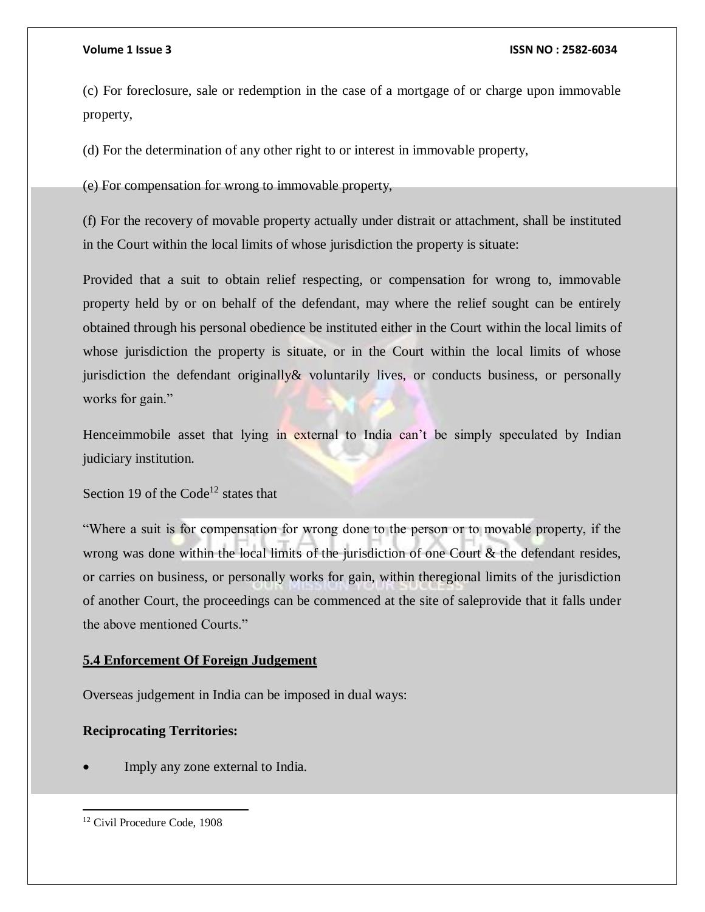(c) For foreclosure, sale or redemption in the case of a mortgage of or charge upon immovable property,

(d) For the determination of any other right to or interest in immovable property,

(e) For compensation for wrong to immovable property,

(f) For the recovery of movable property actually under distrait or attachment, shall be instituted in the Court within the local limits of whose jurisdiction the property is situate:

Provided that a suit to obtain relief respecting, or compensation for wrong to, immovable property held by or on behalf of the defendant, may where the relief sought can be entirely obtained through his personal obedience be instituted either in the Court within the local limits of whose jurisdiction the property is situate, or in the Court within the local limits of whose jurisdiction the defendant originally& voluntarily lives, or conducts business, or personally works for gain."

Henceimmobile asset that lying in external to India can't be simply speculated by Indian judiciary institution.

Section 19 of the Code<sup>12</sup> states that

"Where a suit is for compensation for wrong done to the person or to movable property, if the wrong was done within the local limits of the jurisdiction of one Court & the defendant resides, or carries on business, or personally works for gain, within theregional limits of the jurisdiction of another Court, the proceedings can be commenced at the site of saleprovide that it falls under the above mentioned Courts."

# **5.4 Enforcement Of Foreign Judgement**

Overseas judgement in India can be imposed in dual ways:

# **Reciprocating Territories:**

Imply any zone external to India.

<sup>&</sup>lt;sup>12</sup> Civil Procedure Code, 1908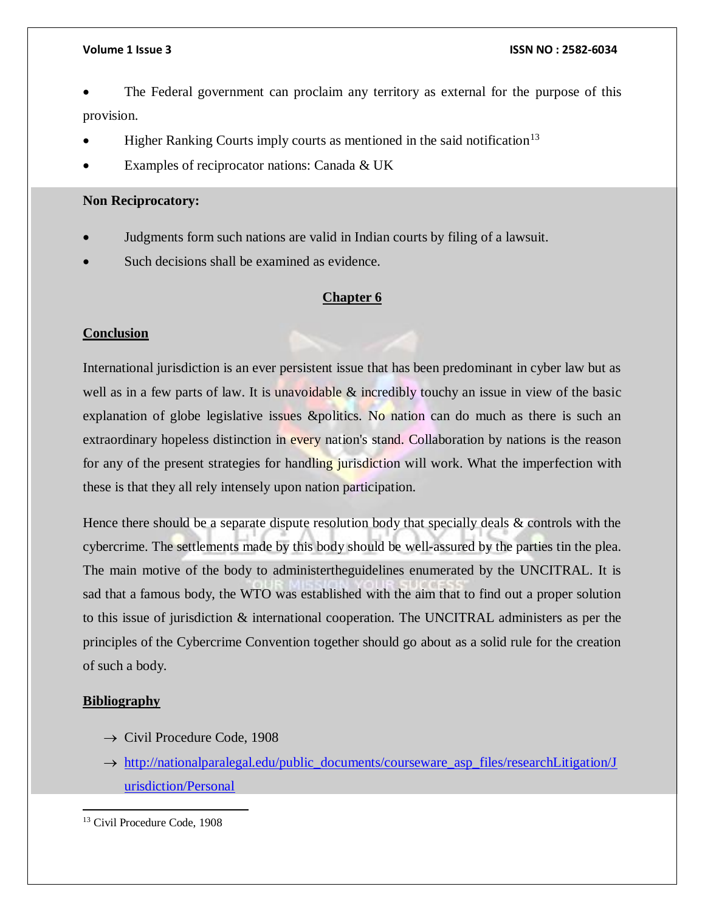- The Federal government can proclaim any territory as external for the purpose of this provision.
- Higher Ranking Courts imply courts as mentioned in the said notification<sup>13</sup>
- Examples of reciprocator nations: Canada & UK

# **Non Reciprocatory:**

- Judgments form such nations are valid in Indian courts by filing of a lawsuit.
- Such decisions shall be examined as evidence.

# **Chapter 6**

# **Conclusion**

International jurisdiction is an ever persistent issue that has been predominant in cyber law but as well as in a few parts of law. It is unavoidable & incredibly touchy an issue in view of the basic explanation of globe legislative issues &politics. No nation can do much as there is such an extraordinary hopeless distinction in every nation's stand. Collaboration by nations is the reason for any of the present strategies for handling jurisdiction will work. What the imperfection with these is that they all rely intensely upon nation participation.

Hence there should be a separate dispute resolution body that specially deals  $\&$  controls with the cybercrime. The settlements made by this body should be well-assured by the parties tin the plea. The main motive of the body to administertheguidelines enumerated by the UNCITRAL. It is sad that a famous body, the WTO was established with the aim that to find out a proper solution to this issue of jurisdiction & international cooperation. The UNCITRAL administers as per the principles of the Cybercrime Convention together should go about as a solid rule for the creation of such a body.

# **Bibliography**

- $\rightarrow$  Civil Procedure Code, 1908
- → [http://nationalparalegal.edu/public\\_documents/courseware\\_asp\\_files/researchLitigation/J](http://nationalparalegal.edu/public_documents/courseware_asp_files/researchLitigation/Jurisdiction/Personal) [urisdiction/Personal](http://nationalparalegal.edu/public_documents/courseware_asp_files/researchLitigation/Jurisdiction/Personal)

 $\overline{a}$ <sup>13</sup> Civil Procedure Code, 1908